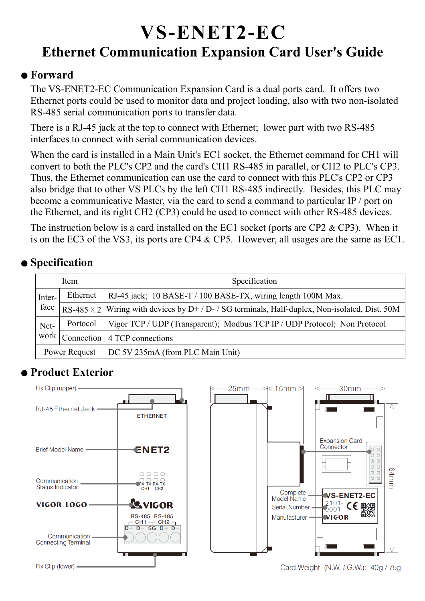# **VS-ENET2-EC Ethernet Communication Expansion Card User's Guide**

## ● **Forward**

The VS-ENET2-EC Communication Expansion Card is a dual ports card. It offers two Ethernet ports could be used to monitor data and project loading, also with two non-isolated RS-485 serial communication ports to transfer data.

There is a RJ-45 jack at the top to connect with Ethernet; lower part with two RS-485 interfaces to connect with serial communication devices.

When the card is installed in a Main Unit's EC1 socket, the Ethernet command for CH1 will convert to both the PLC's CP2 and the card's CH1 RS-485 in parallel, or CH2 to PLC's CP3. Thus, the Ethernet communication can use the card to connect with this PLC's CP2 or CP3 also bridge that to other VS PLCs by the left CH1 RS-485 indirectly. Besides, this PLC may become a communicative Master, via the card to send a command to particular IP / port on the Ethernet, and its right CH2 (CP3) could be used to connect with other RS-485 devices.

The instruction below is a card installed on the EC1 socket (ports are CP2 & CP3). When it is on the EC3 of the VS3, its ports are CP4 & CP5. However, all usages are the same as EC1.

# ● **Specification**

| Item          |          | Specification                                                                                         |
|---------------|----------|-------------------------------------------------------------------------------------------------------|
| Inter-        | Ethernet | RJ-45 jack; 10 BASE-T / 100 BASE-TX, wiring length 100M Max.                                          |
| face          |          | RS-485 $\times$ 2 Wiring with devices by D+ / D- / SG terminals, Half-duplex, Non-isolated, Dist. 50M |
| Net-          | Portocol | Vigor TCP / UDP (Transparent); Modbus TCP IP / UDP Protocol; Non Protocol                             |
| work          |          | Connection 4 TCP connections                                                                          |
| Power Request |          | DC 5V 235mA (from PLC Main Unit)                                                                      |

## ● **Product Exterior**

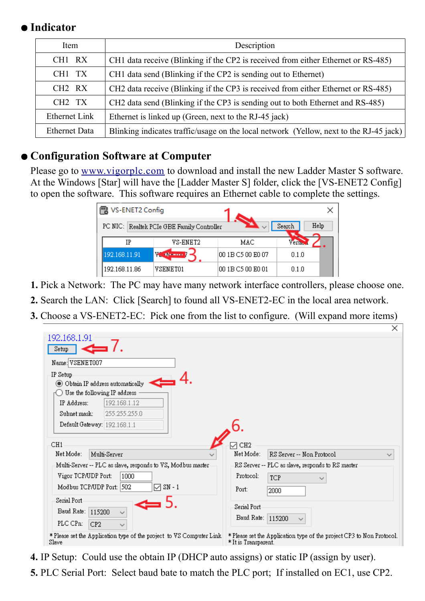## ● **Indicator**

| Item                           | Description                                                                            |  |  |  |
|--------------------------------|----------------------------------------------------------------------------------------|--|--|--|
| CH1 RX                         | CH1 data receive (Blinking if the CP2 is received from either Ethernet or RS-485)      |  |  |  |
| CH1 TX                         | CH1 data send (Blinking if the CP2 is sending out to Ethernet)                         |  |  |  |
| CH <sub>2</sub> R <sub>X</sub> | CH2 data receive (Blinking if the CP3 is received from either Ethernet or RS-485)      |  |  |  |
| CH <sub>2</sub> T <sub>X</sub> | CH2 data send (Blinking if the CP3 is sending out to both Ethernet and RS-485)         |  |  |  |
| Ethernet Link                  | Ethernet is linked up (Green, next to the RJ-45 jack)                                  |  |  |  |
| <b>Ethernet Data</b>           | Blinking indicates traffic/usage on the local network (Yellow, next to the RJ-45 jack) |  |  |  |

## ● **Configuration Software at Computer**

Please go to [www.vigorplc.com](http://www.vigorplc.com/) to download and install the new Ladder Master S software. At the Windows [Star] will have the [Ladder Master S] folder, click the [VS-ENET2 Config] to open the software. This software requires an Ethernet cable to complete the settings.

| VS-ENET2 Config |                                            |                   |                |
|-----------------|--------------------------------------------|-------------------|----------------|
|                 | PC NIC: Realtek PCIe GBE Family Controller |                   | Help<br>Search |
| IP              | VS-ENET2                                   | MAC               | Versi.         |
| 192.168.11.91   | $V_{\rm{sc}}$ , the control $f$            | 00 1B C5 00 E0 07 | 0.1.0          |
| 192.168.11.86   | VSENET01                                   | 00 1B C5 00 E0 01 | 0.1.0          |

- **1.** Pick a Network: The PC may have many network interface controllers, please choose one.
- **2.** Search the LAN: Click [Search] to found all VS-ENET2-EC in the local area network.
- **3.** Choose a VS-ENET2-EC: Pick one from the list to configure. (Will expand more items)

| 192.168.1.91                                                         | ⌒                                                                     |
|----------------------------------------------------------------------|-----------------------------------------------------------------------|
| Setup                                                                |                                                                       |
| Name: VSENET007                                                      |                                                                       |
| IP Setup                                                             |                                                                       |
| O Obtain IP address automatically                                    |                                                                       |
| Use the following IP address                                         |                                                                       |
| 192.168.1.12<br>IP Address:                                          |                                                                       |
| 255.255.255.0<br>Subnet mask:                                        |                                                                       |
| Default Gateway: 192.168.1.1                                         |                                                                       |
|                                                                      |                                                                       |
| CH1                                                                  | $\sqrt{}$ CH <sub>2</sub>                                             |
| Net Mode:<br>Multi-Server                                            | Net Mode:<br>RS Server -- Non Protocol                                |
| Multi-Server -- PLC as slave, responds to VS, Modbus master-         | -RS Server -- PLC as slave, responds to RS master-                    |
| Vigor TCP/UDP Port:<br>1000                                          | Protocol:<br><b>TCP</b>                                               |
| $\sqrt{3}$ SN - 1<br>Modbus TCP/UDP Port: 502                        | Port:<br>2000                                                         |
| Serial Port                                                          |                                                                       |
|                                                                      | Serial Port                                                           |
| Baud Rate: 115200<br>$\checkmark$                                    | Baud Rate: 115200<br>$\checkmark$                                     |
| PLC CPn:<br>CP <sub>2</sub><br>$\checkmark$                          |                                                                       |
| * Please set the Application type of the project to VS Computer Link | * Please set the Application type of the project CP3 to Non Protocol. |
| Slave                                                                | * It is Transparent.                                                  |

- **4.** IP Setup: Could use the obtain IP (DHCP auto assigns) or static IP (assign by user).
- **5.** PLC Serial Port: Select baud bate to match the PLC port; If installed on EC1, use CP2.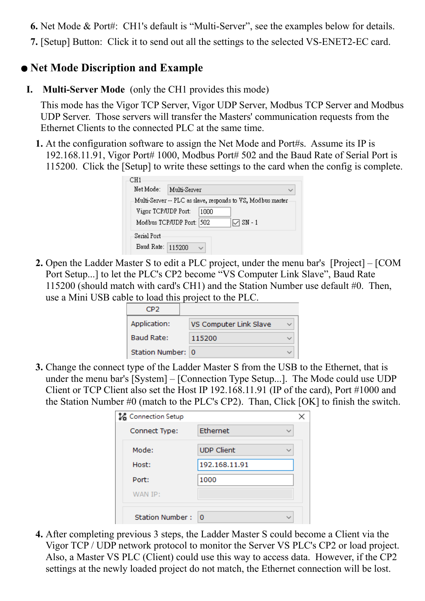**6.** Net Mode & Port#: CH1's default is "Multi-Server", see the examples below for details.

**7.** [Setup] Button: Click it to send out all the settings to the selected VS-ENET2-EC card.

#### ● **Net Mode Discription and Example**

**I. Multi-Server Mode** (only the CH1 provides this mode)

This mode has the Vigor TCP Server, Vigor UDP Server, Modbus TCP Server and Modbus UDP Server. Those servers will transfer the Masters' communication requests from the Ethernet Clients to the connected PLC at the same time.

**1.** At the configuration software to assign the Net Mode and Port#s. Assume its IP is 192.168.11.91, Vigor Port# 1000, Modbus Port# 502 and the Baud Rate of Serial Port is 115200. Click the [Setup] to write these settings to the card when the config is complete.

| Net Mode:                 | Multi-Server |                                                             |  |
|---------------------------|--------------|-------------------------------------------------------------|--|
|                           |              | Multi-Server -- PLC as slave, responds to VS, Modbus master |  |
| Vigor TCP/UDP Port:       |              | 1000                                                        |  |
| Modbus TCP/UDP Port: 1502 |              | $\nabla S$ N - 1                                            |  |
| Serial Port               |              |                                                             |  |
| Baud Rate:                | 115200       |                                                             |  |

**2.** Open the Ladder Master S to edit a PLC project, under the menu bar's [Project] – [COM Port Setup...] to let the PLC's CP2 become "VS Computer Link Slave", Baud Rate 115200 (should match with card's CH1) and the Station Number use default #0. Then, use a Mini USB cable to load this project to the PLC.

| CD 7              |                        |  |
|-------------------|------------------------|--|
| Application:      | VS Computer Link Slave |  |
| Baud Rate:        | 115200                 |  |
| Station Number: 0 |                        |  |

**3.** Change the connect type of the Ladder Master S from the USB to the Ethernet, that is under the menu bar's [System] – [Connection Type Setup...]. The Mode could use UDP Client or TCP Client also set the Host IP 192.168.11.91 (IP of the card), Port #1000 and the Station Number #0 (match to the PLC's CP2). Than, Click [OK] to finish the switch.

| <b>Le</b> Connection Setup |                   |  |
|----------------------------|-------------------|--|
| Connect Type:              | Ethernet          |  |
| Mode:                      | <b>UDP Client</b> |  |
| Host:                      | 192.168.11.91     |  |
| Port:                      | 1000              |  |
| WAN IP:                    |                   |  |
| <b>Station Number:</b>     | $\overline{0}$    |  |

**4.** After completing previous 3 steps, the Ladder Master S could become a Client via the Vigor TCP / UDP network protocol to monitor the Server VS PLC's CP2 or load project. Also, a Master VS PLC (Client) could use this way to access data. However, if the CP2 settings at the newly loaded project do not match, the Ethernet connection will be lost.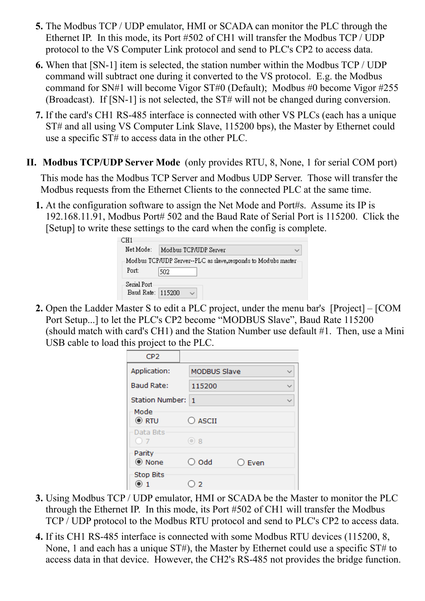- **5.** The Modbus TCP / UDP emulator, HMI or SCADA can monitor the PLC through the Ethernet IP. In this mode, its Port #502 of CH1 will transfer the Modbus TCP / UDP protocol to the VS Computer Link protocol and send to PLC's CP2 to access data.
- **6.** When that [SN-1] item is selected, the station number within the Modbus TCP / UDP command will subtract one during it converted to the VS protocol. E.g. the Modbus command for SN#1 will become Vigor ST#0 (Default); Modbus #0 become Vigor #255 (Broadcast). If [SN-1] is not selected, the ST# will not be changed during conversion.
- **7.** If the card's CH1 RS-485 interface is connected with other VS PLCs (each has a unique ST# and all using VS Computer Link Slave, 115200 bps), the Master by Ethernet could use a specific ST# to access data in the other PLC.
- **II. Modbus TCP/UDP Server Mode** (only provides RTU, 8, None, 1 for serial COM port)

This mode has the Modbus TCP Server and Modbus UDP Server. Those will transfer the Modbus requests from the Ethernet Clients to the connected PLC at the same time.

**1.** At the configuration software to assign the Net Mode and Port#s. Assume its IP is 192.168.11.91, Modbus Port# 502 and the Baud Rate of Serial Port is 115200. Click the [Setup] to write these settings to the card when the config is complete.

| CH1                        |                                                               |
|----------------------------|---------------------------------------------------------------|
| Net Mode:                  | Modbus TCP/IIDP Server                                        |
|                            | Modbus TCP/UDP Server--PLC as slave,responds to Modubs master |
| Port:                      | 502                                                           |
| Serial Port-<br>Baud Rate: | 115200                                                        |

**2.** Open the Ladder Master S to edit a PLC project, under the menu bar's [Project] – [COM Port Setup...] to let the PLC's CP2 become "MODBUS Slave", Baud Rate 115200 (should match with card's CH1) and the Station Number use default #1. Then, use a Mini USB cable to load this project to the PLC.

| CP <sub>2</sub>     |                     |                 |  |
|---------------------|---------------------|-----------------|--|
| Application:        | <b>MODBUS Slave</b> |                 |  |
| <b>Baud Rate:</b>   | 115200              |                 |  |
| Station Number: 1   |                     |                 |  |
| Mode<br>$\odot$ RTU | $\bigcirc$ ascii    |                 |  |
| Data Bits<br>()7    | $\odot$ 8           |                 |  |
| Parity<br>◉ None    | $\bigcirc$ Odd      | $\bigcirc$ Even |  |
| <b>Stop Bits</b>    | -2                  |                 |  |

- **3.** Using Modbus TCP / UDP emulator, HMI or SCADA be the Master to monitor the PLC through the Ethernet IP. In this mode, its Port #502 of CH1 will transfer the Modbus TCP / UDP protocol to the Modbus RTU protocol and send to PLC's CP2 to access data.
- **4.** If its CH1 RS-485 interface is connected with some Modbus RTU devices (115200, 8, None, 1 and each has a unique ST#), the Master by Ethernet could use a specific ST# to access data in that device. However, the CH2's RS-485 not provides the bridge function.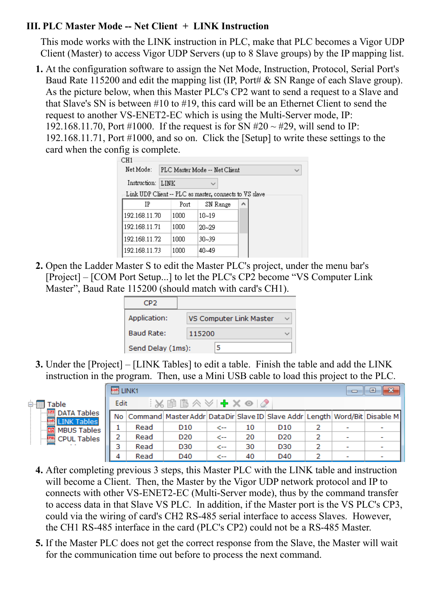#### **III. PLC Master Mode -- Net Client + LINK Instruction**

This mode works with the LINK instruction in PLC, make that PLC becomes a Vigor UDP Client (Master) to access Vigor UDP Servers (up to 8 Slave groups) by the IP mapping list.

**1.** At the configuration software to assign the Net Mode, Instruction, Protocol, Serial Port's Baud Rate 115200 and edit the mapping list (IP, Port# & SN Range of each Slave group). As the picture below, when this Master PLC's CP2 want to send a request to a Slave and that Slave's SN is between #10 to #19, this card will be an Ethernet Client to send the request to another VS-ENET2-EC which is using the Multi-Server mode, IP: 192.168.11.70, Port #1000. If the request is for SN #20  $\sim$  #29, will send to IP: 192.168.11.71, Port #1000, and so on. Click the [Setup] to write these settings to the card when the config is complete.

| CHI           |                               |                                                        |   |  |  |  |  |
|---------------|-------------------------------|--------------------------------------------------------|---|--|--|--|--|
| Net Mode:     | PLC Master Mode -- Net Client |                                                        |   |  |  |  |  |
| Instruction:  | LINK<br>$\checkmark$          |                                                        |   |  |  |  |  |
|               |                               | Link UDP Client -- PLC as master, connects to VS slave |   |  |  |  |  |
| ĪΡ            | Port                          | SN Range                                               | ۸ |  |  |  |  |
| 192.168.11.70 | 1000                          | $10 - 19$                                              |   |  |  |  |  |
| 192.168.11.71 | 1000                          | $20 - 29$                                              |   |  |  |  |  |
| 192.168.11.72 | 1000                          | $30 - 39$                                              |   |  |  |  |  |
| 192.168.11.73 | 1000                          | 40~49                                                  |   |  |  |  |  |
|               |                               |                                                        |   |  |  |  |  |

**2.** Open the Ladder Master S to edit the Master PLC's project, under the menu bar's [Project] – [COM Port Setup...] to let the PLC's CP2 become "VS Computer Link Master", Baud Rate 115200 (should match with card's CH1).

| CP <sub>2</sub>   |                         |  |
|-------------------|-------------------------|--|
| Application:      | VS Computer Link Master |  |
| <b>Baud Rate:</b> | 115200                  |  |
| Send Delay (1ms): |                         |  |

**3.** Under the [Project] – [LINK Tables] to edit a table. Finish the table and add the LINK instruction in the program. Then, use a Mini USB cable to load this project to the PLC.

É

|                                          | LINK1 |      |                                                                                               |     |    |                 |   | 23<br>▣ |
|------------------------------------------|-------|------|-----------------------------------------------------------------------------------------------|-----|----|-----------------|---|---------|
| Table                                    | Edit  |      | ░▓░▒▒▒▒▒▒▒▒▒▒                                                                                 |     |    |                 |   |         |
| …<br><b>DATA Tables</b><br>图 LINK Tables |       |      | No   Command   Master Addr   Data Dir   Slave ID   Slave Addr   Length   Word/Bit   Disable M |     |    |                 |   |         |
| 鬸<br><b>MBUS Tables</b>                  |       | Read | D <sub>10</sub>                                                                               | <-- | 10 | D <sub>10</sub> | 2 |         |
| <b>B</b> CPUL Tables                     | 2     | Read | D <sub>20</sub>                                                                               | ->  | 20 | D <sub>20</sub> | 2 |         |
|                                          | 3     | Read | D <sub>30</sub>                                                                               | <-- | 30 | D30             |   |         |
|                                          | 4     | Read | D40                                                                                           | ←   | 40 | D40             |   |         |

- **4.** After completing previous 3 steps, this Master PLC with the LINK table and instruction will become a Client. Then, the Master by the Vigor UDP network protocol and IP to connects with other VS-ENET2-EC (Multi-Server mode), thus by the command transfer to access data in that Slave VS PLC. In addition, if the Master port is the VS PLC's CP3, could via the wiring of card's CH2 RS-485 serial interface to access Slaves. However, the CH1 RS-485 interface in the card (PLC's CP2) could not be a RS-485 Master.
- **5.** If the Master PLC does not get the correct response from the Slave, the Master will wait for the communication time out before to process the next command.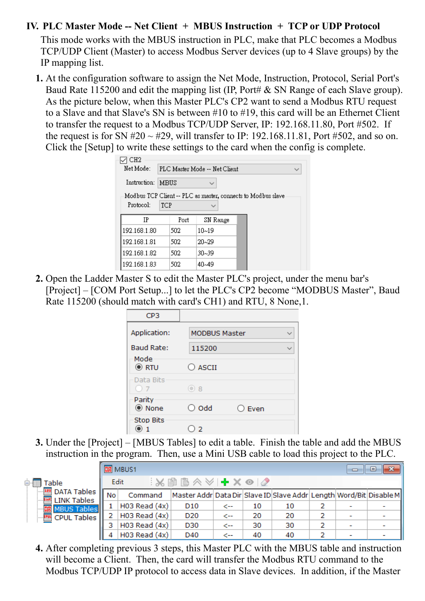#### **IV. PLC Master Mode -- Net Client + MBUS Instruction + TCP or UDP Protocol**

This mode works with the MBUS instruction in PLC, make that PLC becomes a Modbus TCP/UDP Client (Master) to access Modbus Server devices (up to 4 Slave groups) by the IP mapping list.

**1.** At the configuration software to assign the Net Mode, Instruction, Protocol, Serial Port's Baud Rate 115200 and edit the mapping list (IP, Port# & SN Range of each Slave group). As the picture below, when this Master PLC's CP2 want to send a Modbus RTU request to a Slave and that Slave's SN is between #10 to #19, this card will be an Ethernet Client to transfer the request to a Modbus TCP/UDP Server, IP: 192.168.11.80, Port #502. If the request is for SN  $#20 \sim #29$ , will transfer to IP: 192.168.11.81, Port  $#502$ , and so on. Click the [Setup] to write these settings to the card when the config is complete.

| H2           |     |                                               |                                                              |  |  |  |  |
|--------------|-----|-----------------------------------------------|--------------------------------------------------------------|--|--|--|--|
| Net Mode:    |     | PLC Master Mode -- Net Client<br>$\checkmark$ |                                                              |  |  |  |  |
| Instruction: |     | MBUS                                          |                                                              |  |  |  |  |
|              |     |                                               | Modbus TCP Client -- PLC as master, connects to Modbus slave |  |  |  |  |
| Protocol:    | TCP |                                               |                                                              |  |  |  |  |
| TΡ           |     | Port                                          | SN Range                                                     |  |  |  |  |
| 192.168.1.80 |     | 502                                           | $10 - 19$                                                    |  |  |  |  |
| 192.168.1.81 |     | 502                                           | $20 - 29$                                                    |  |  |  |  |
| 192.168.1.82 |     | 502                                           | $30 - 39$                                                    |  |  |  |  |
| 192.168.1.83 |     | 502                                           | 40~49                                                        |  |  |  |  |

**2.** Open the Ladder Master S to edit the Master PLC's project, under the menu bar's [Project] – [COM Port Setup...] to let the PLC's CP2 become "MODBUS Master", Baud Rate 115200 (should match with card's CH1) and RTU, 8 None,1.

| CP3                 |                      |                |  |
|---------------------|----------------------|----------------|--|
| Application:        | <b>MODBUS Master</b> |                |  |
| <b>Baud Rate:</b>   | 115200               |                |  |
| Mode<br>$\odot$ RTU | $\bigcirc$ ascii     |                |  |
| Data Bits<br>()7    | $\odot$ 8            |                |  |
| Parity<br>◉ None    | $\bigcirc$ Odd       | $\supset$ Even |  |
| <b>Stop Bits</b>    | 2                    |                |  |

**3.** Under the [Project] – [MBUS Tables] to edit a table. Finish the table and add the MBUS instruction in the program. Then, use a Mini USB cable to load this project to the PLC.

|                                                                  |           | <b>圖 MBUS1</b>    |                                                                          |     |    |    |   | $\Box$                   | -53<br>$\Box$ |
|------------------------------------------------------------------|-----------|-------------------|--------------------------------------------------------------------------|-----|----|----|---|--------------------------|---------------|
| Table                                                            |           | Edit              | ░▓░▒▒▓▓░▓▓                                                               |     |    |    |   |                          |               |
| $\mathbf{m}$<br><b>DATA Tables</b><br>linK<br><b>LINK Tables</b> | <b>No</b> | Command           | Master Addr  Data Dir  Slave ID  Slave Addr  Length  Word/Bit  Disable M |     |    |    |   |                          |               |
| <b>MBUS Tables</b>                                               |           | $H03$ Read $(4x)$ | D <sub>10</sub>                                                          | <-- | 10 | 10 |   |                          |               |
| <b>EM</b> CPUL Tables                                            |           | $H03$ Read $(4x)$ | D <sub>20</sub>                                                          | <-- | 20 | 20 |   |                          |               |
|                                                                  |           | $H03$ Read $(4x)$ | D30                                                                      | <-- | 30 | 30 | 2 | $\overline{\phantom{a}}$ |               |
|                                                                  |           | H03 Read $(4x)$   | D40                                                                      | <-- | 40 | 40 |   | $\overline{\phantom{a}}$ |               |

**4.** After completing previous 3 steps, this Master PLC with the MBUS table and instruction will become a Client. Then, the card will transfer the Modbus RTU command to the Modbus TCP/UDP IP protocol to access data in Slave devices. In addition, if the Master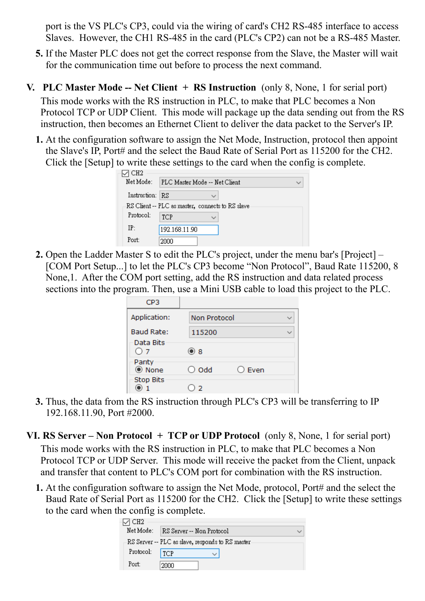port is the VS PLC's CP3, could via the wiring of card's CH2 RS-485 interface to access Slaves. However, the CH1 RS-485 in the card (PLC's CP2) can not be a RS-485 Master.

- **5.** If the Master PLC does not get the correct response from the Slave, the Master will wait for the communication time out before to process the next command.
- **V. PLC Master Mode -- Net Client + RS Instruction** (only 8, None, 1 for serial port) This mode works with the RS instruction in PLC, to make that PLC becomes a Non Protocol TCP or UDP Client. This mode will package up the data sending out from the RS instruction, then becomes an Ethernet Client to deliver the data packet to the Server's IP.
	- **1.** At the configuration software to assign the Net Mode, Instruction, protocol then appoint the Slave's IP, Port# and the select the Baud Rate of Serial Port as 115200 for the CH2. Click the [Setup] to write these settings to the card when the config is complete.

| CH2             |                                                  |  |
|-----------------|--------------------------------------------------|--|
| Net Mode:       | PLC Master Mode -- Net Client                    |  |
| Instruction: RS |                                                  |  |
|                 | -RS Client -- PLC as master,connects to RS slave |  |
| Protocol:       | TCP<br>$\checkmark$                              |  |
| IP:             | 192.168.11.90                                    |  |
| Port:           | 2000                                             |  |

**2.** Open the Ladder Master S to edit the PLC's project, under the menu bar's [Project] – [COM Port Setup...] to let the PLC's CP3 become "Non Protocol", Baud Rate 115200, 8 None,1. After the COM port setting, add the RS instruction and data related process sections into the program. Then, use a Mini USB cable to load this project to the PLC.

| CP <sub>3</sub>                             |                     |                 |  |
|---------------------------------------------|---------------------|-----------------|--|
| Application:                                | <b>Non Protocol</b> |                 |  |
| <b>Baud Rate:</b><br>Data Bits<br>$\circ$ 7 | 115200<br>$\odot$ 8 |                 |  |
| Parity<br>◉ None                            | $\bigcirc$ Odd      | $\bigcirc$ Even |  |
| <b>Stop Bits</b>                            | $2^{\circ}$         |                 |  |

**3.** Thus, the data from the RS instruction through PLC's CP3 will be transferring to IP 192.168.11.90, Port #2000.

**VI. RS Server – Non Protocol + TCP or UDP Protocol** (only 8, None, 1 for serial port) This mode works with the RS instruction in PLC, to make that PLC becomes a Non Protocol TCP or UDP Server. This mode will receive the packet from the Client, unpack and transfer that content to PLC's COM port for combination with the RS instruction.

**1.** At the configuration software to assign the Net Mode, protocol, Port# and the select the Baud Rate of Serial Port as 115200 for the CH2. Click the [Setup] to write these settings to the card when the config is complete.

| CH2<br>Net Mode: | RS Server -- Non Protocol                         |  |
|------------------|---------------------------------------------------|--|
|                  | -RS Server -- PLC as slave, responds to RS master |  |
| Protocol:        | <b>TCP</b>                                        |  |
| Port:            | 2000                                              |  |